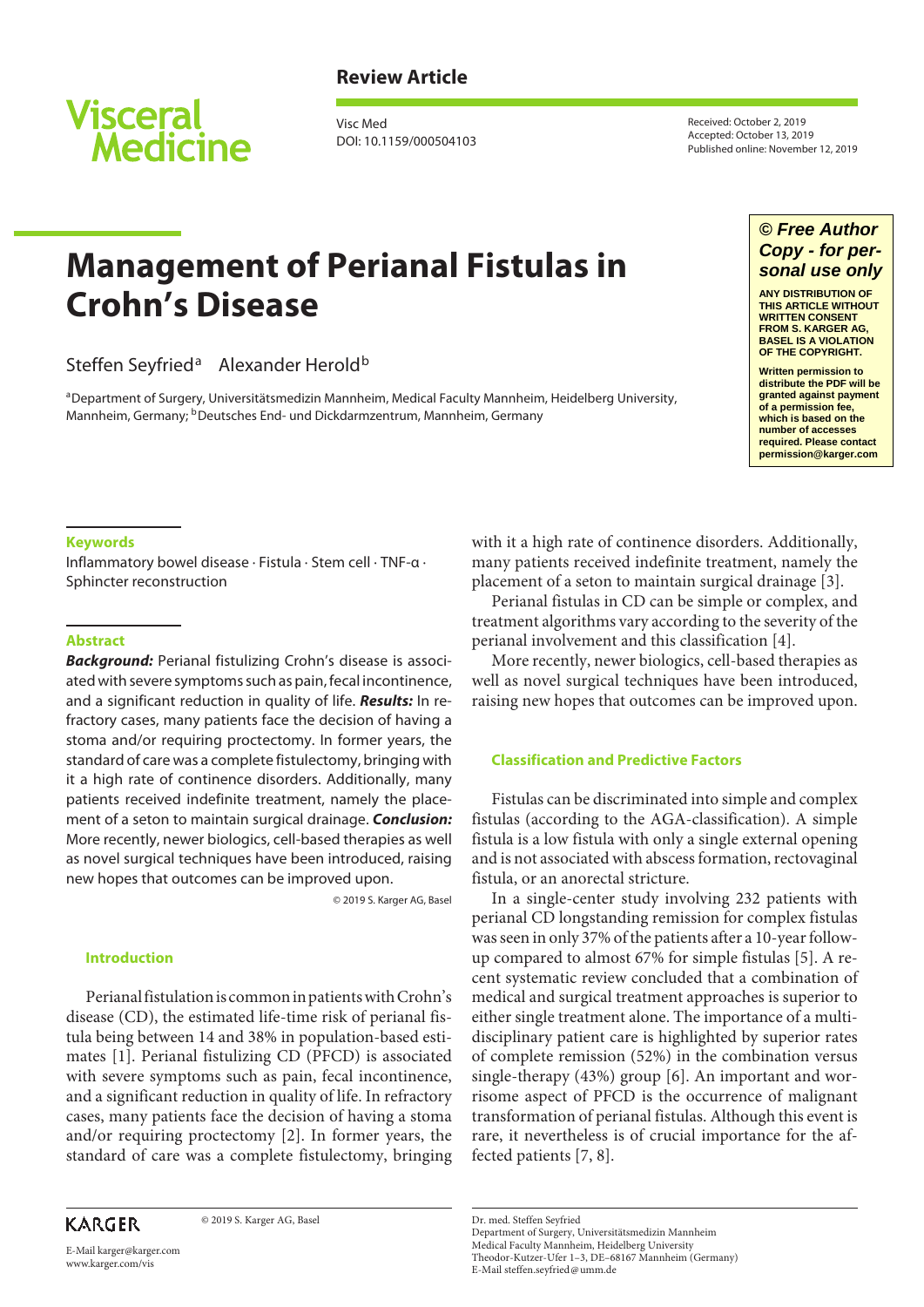

## **Review Article**

Visc Med DOI: 10.1159/000504103 Received: October 2, 2019 Accepted: October 13, 2019 Published online: November 12, 2019

# **Management of Perianal Fistulas in Crohn's Disease**

## Steffen Seyfried<sup>a</sup> Alexander Herold<sup>b</sup>

aDepartment of Surgery, Universitätsmedizin Mannheim, Medical Faculty Mannheim, Heidelberg University, Mannheim, Germany; <sup>b</sup>Deutsches End- und Dickdarmzentrum, Mannheim, Germany

## *© Free Author Copy - for personal use only*

**ANY DISTRIBUTION OF THIS ARTICLE WITHOUT WRITTEN CONSENT FROM S. KARGER AG, BASEL IS A VIOLATION OF THE COPYRIGHT.**

**Written permission to distribute the PDF will be granted against payment of a permission fee, which is based on the number of accesses required. Please contact permission@karger.com**

#### **Keywords**

Inflammatory bowel disease · Fistula · Stem cell · TNF-α · Sphincter reconstruction

#### **Abstract**

*Background:* Perianal fistulizing Crohn's disease is associated with severe symptoms such as pain, fecal incontinence, and a significant reduction in quality of life. *Results:* In refractory cases, many patients face the decision of having a stoma and/or requiring proctectomy. In former years, the standard of care was a complete fistulectomy, bringing with it a high rate of continence disorders. Additionally, many patients received indefinite treatment, namely the placement of a seton to maintain surgical drainage. *Conclusion:* More recently, newer biologics, cell-based therapies as well as novel surgical techniques have been introduced, raising new hopes that outcomes can be improved upon.

© 2019 S. Karger AG, Basel

#### **Introduction**

<span id="page-0-0"></span>Perianal fistulation is common in patients with Crohn's disease (CD), the estimated life-time risk of perianal fistula being between 14 and 38% in population-based estimates [[1](#page-3-0)]. Perianal fistulizing CD (PFCD) is associated with severe symptoms such as pain, fecal incontinence, and a significant reduction in quality of life. In refractory cases, many patients face the decision of having a stoma and/or requiring proctectomy [[2](#page-3-1)]. In former years, the standard of care was a complete fistulectomy, bringing

<span id="page-0-1"></span>**KARGER** 

© 2019 S. Karger AG, Basel

E-Mail karger@karger.com www.karger.com/vis

with it a high rate of continence disorders. Additionally, many patients received indefinite treatment, namely the placement of a seton to maintain surgical drainage [[3\]](#page-3-2).

<span id="page-0-2"></span>Perianal fistulas in CD can be simple or complex, and treatment algorithms vary according to the severity of the perianal involvement and this classification [\[4\]](#page-3-3).

<span id="page-0-3"></span>More recently, newer biologics, cell-based therapies as well as novel surgical techniques have been introduced, raising new hopes that outcomes can be improved upon.

#### **Classification and Predictive Factors**

Fistulas can be discriminated into simple and complex fistulas (according to the AGA-classification). A simple fistula is a low fistula with only a single external opening and is not associated with abscess formation, rectovaginal fistula, or an anorectal stricture.

<span id="page-0-6"></span><span id="page-0-5"></span><span id="page-0-4"></span>In a single-center study involving 232 patients with perianal CD longstanding remission for complex fistulas was seen in only 37% of the patients after a 10-year followup compared to almost 67% for simple fistulas [[5\]](#page-3-4). A recent systematic review concluded that a combination of medical and surgical treatment approaches is superior to either single treatment alone. The importance of a multidisciplinary patient care is highlighted by superior rates of complete remission (52%) in the combination versus single-therapy (43%) group [[6](#page-3-5)]. An important and worrisome aspect of PFCD is the occurrence of malignant transformation of perianal fistulas. Although this event is rare, it nevertheless is of crucial importance for the affected patients [\[7](#page-4-0), [8\]](#page-4-1).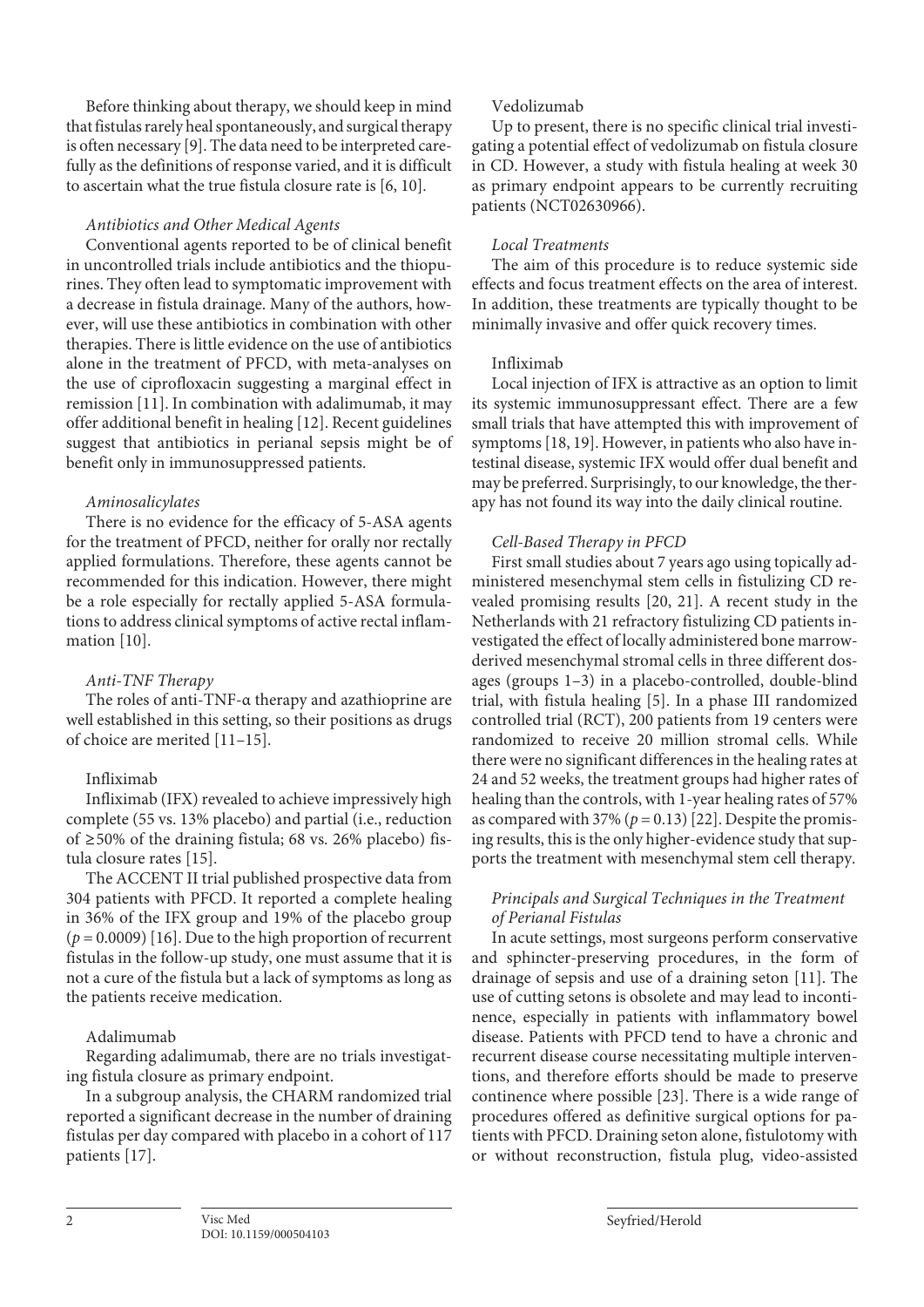<span id="page-1-0"></span>Before thinking about therapy, we should keep in mind that fistulas rarely heal spontaneously, and surgical therapy is often necessary [\[9](#page-4-2)]. The data need to be interpreted carefully as the definitions of response varied, and it is difficult to ascertain what the true fistula closure rate is [\[6,](#page-3-5) [10](#page-3-0)].

### <span id="page-1-1"></span>*Antibiotics and Other Medical Agents*

Conventional agents reported to be of clinical benefit in uncontrolled trials include antibiotics and the thiopurines. They often lead to symptomatic improvement with a decrease in fistula drainage. Many of the authors, however, will use these antibiotics in combination with other therapies. There is little evidence on the use of antibiotics alone in the treatment of PFCD, with meta-analyses on the use of ciprofloxacin suggesting a marginal effect in remission [[11](#page-3-0)]. In combination with adalimumab, it may offer additional benefit in healing [[1](#page-3-0)[2](#page-3-1)]. Recent guidelines suggest that antibiotics in perianal sepsis might be of benefit only in immunosuppressed patients.

## <span id="page-1-3"></span><span id="page-1-2"></span>*Aminosalicylates*

There is no evidence for the efficacy of 5-ASA agents for the treatment of PFCD, neither for orally nor rectally applied formulations. Therefore, these agents cannot be recommended for this indication. However, there might be a role especially for rectally applied 5-ASA formulations to address clinical symptoms of active rectal inflammation [[10](#page-3-0)].

## *Anti-TNF Therapy*

<span id="page-1-4"></span>The roles of anti-TNF-α therapy and azathioprine are well established in this setting, so their positions as drugs of choice are merited [[11](#page-3-0)–[1](#page-3-0)[5\]](#page-3-4).

## Infliximab

Infliximab (IFX) revealed to achieve impressively high complete (55 vs. 13% placebo) and partial (i.e., reduction of ≥50% of the draining fistula; 68 vs. 26% placebo) fistula closure rates [\[1](#page-3-0)[5\]](#page-3-4).

<span id="page-1-5"></span>The ACCENT II trial published prospective data from 304 patients with PFCD. It reported a complete healing in 36% of the IFX group and 19% of the placebo group  $(p = 0.0009)$  [\[1](#page-3-0)[6\]](#page-3-5). Due to the high proportion of recurrent fistulas in the follow-up study, one must assume that it is not a cure of the fistula but a lack of symptoms as long as the patients receive medication.

## Adalimumab

Regarding adalimumab, there are no trials investigating fistula closure as primary endpoint.

<span id="page-1-6"></span>In a subgroup analysis, the CHARM randomized trial reported a significant decrease in the number of draining fistulas per day compared with placebo in a cohort of 117 patients [[1](#page-3-0)[7](#page-4-0)].

## Vedolizumab

Up to present, there is no specific clinical trial investigating a potential effect of vedolizumab on fistula closure in CD. However, a study with fistula healing at week 30 as primary endpoint appears to be currently recruiting patients (NCT02630966).

## *Local Treatments*

The aim of this procedure is to reduce systemic side effects and focus treatment effects on the area of interest. In addition, these treatments are typically thought to be minimally invasive and offer quick recovery times.

## Infliximab

<span id="page-1-7"></span>Local injection of IFX is attractive as an option to limit its systemic immunosuppressant effect. There are a few small trials that have attempted this with improvement of symptoms [[1](#page-3-0)[8](#page-4-1), [1](#page-3-0)[9\]](#page-4-2). However, in patients who also have intestinal disease, systemic IFX would offer dual benefit and may be preferred. Surprisingly, to our knowledge, the therapy has not found its way into the daily clinical routine.

## *Cell-Based Therapy in PFCD*

<span id="page-1-8"></span>First small studies about 7 years ago using topically administered mesenchymal stem cells in fistulizing CD revealed promising results [[2](#page-3-1)0, [2](#page-3-1)[1](#page-3-0)]. A recent study in the Netherlands with 21 refractory fistulizing CD patients investigated the effect of locally administered bone marrowderived mesenchymal stromal cells in three different dosages (groups 1–3) in a placebo-controlled, double-blind trial, with fistula healing [\[5\]](#page-3-4). In a phase III randomized controlled trial (RCT), 200 patients from 19 centers were randomized to receive 20 million stromal cells. While there were no significant differences in the healing rates at 24 and 52 weeks, the treatment groups had higher rates of healing than the controls, with 1-year healing rates of 57% as compared with 37%  $(p = 0.13)$  [[22](#page-3-1)]. Despite the promising results, this is the only higher-evidence study that supports the treatment with mesenchymal stem cell therapy.

## <span id="page-1-9"></span>*Principals and Surgical Techniques in the Treatment of Perianal Fistulas*

<span id="page-1-10"></span>In acute settings, most surgeons perform conservative and sphincter-preserving procedures, in the form of drainage of sepsis and use of a draining seton [\[11\]](#page-3-0). The use of cutting setons is obsolete and may lead to incontinence, especially in patients with inflammatory bowel disease. Patients with PFCD tend to have a chronic and recurrent disease course necessitating multiple interventions, and therefore efforts should be made to preserve continence where possible [[2](#page-3-1)[3\]](#page-3-2). There is a wide range of procedures offered as definitive surgical options for patients with PFCD. Draining seton alone, fistulotomy with or without reconstruction, fistula plug, video-assisted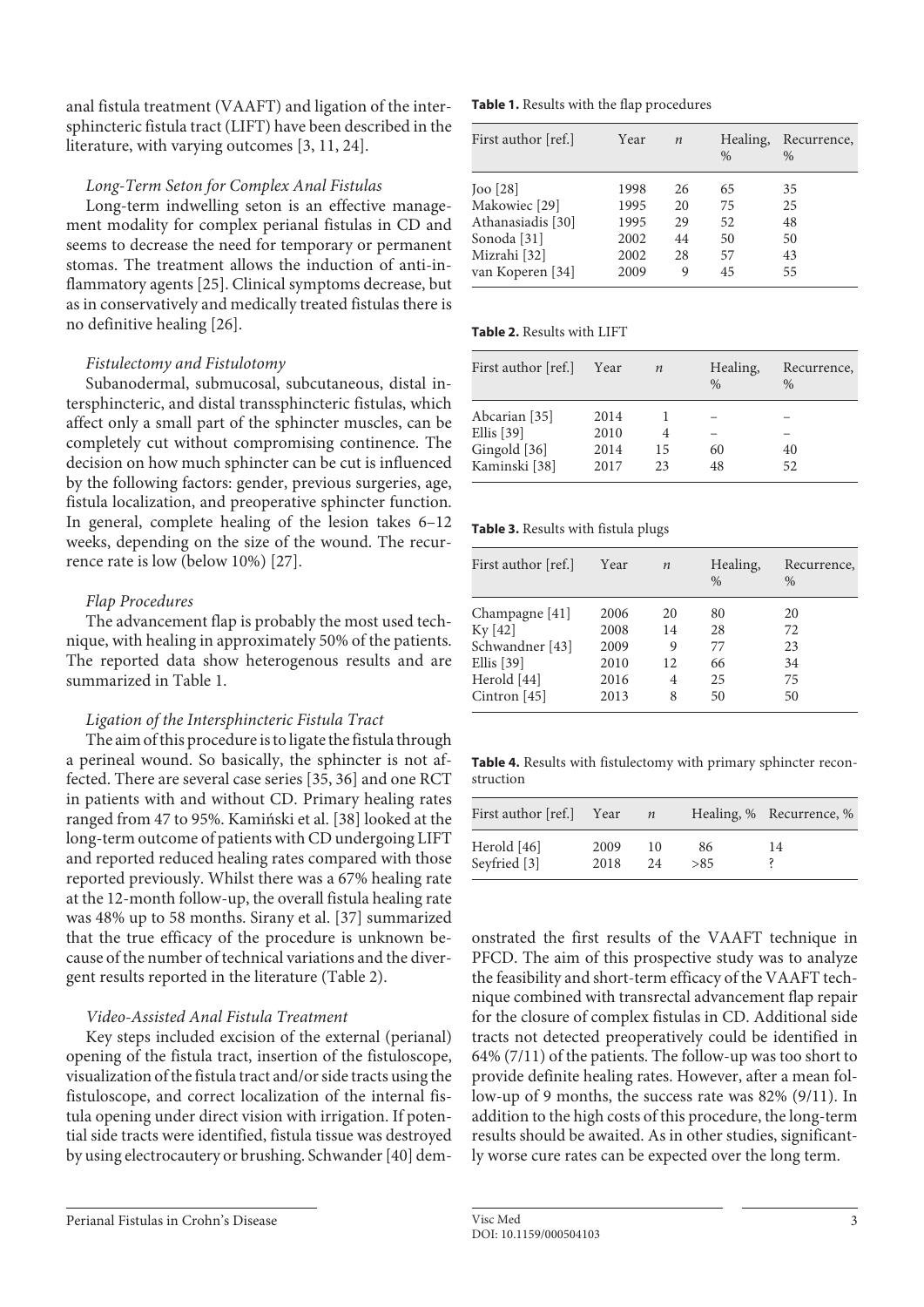<span id="page-2-0"></span>anal fistula treatment (VAAFT) and ligation of the intersphincteric fistula tract (LIFT) have been described in the literature, with varying outcomes [\[3](#page-3-2), [11,](#page-3-0) [2](#page-3-1)[4\]](#page-3-3).

#### *Long-Term Seton for Complex Anal Fistulas*

<span id="page-2-1"></span>Long-term indwelling seton is an effective management modality for complex perianal fistulas in CD and seems to decrease the need for temporary or permanent stomas. The treatment allows the induction of anti-inflammatory agents [[2](#page-3-1)[5](#page-3-4)]. Clinical symptoms decrease, but as in conservatively and medically treated fistulas there is no definitive healing [\[2](#page-3-1)[6\]](#page-3-5).

#### <span id="page-2-2"></span>*Fistulectomy and Fistulotomy*

Subanodermal, submucosal, subcutaneous, distal intersphincteric, and distal transsphincteric fistulas, which affect only a small part of the sphincter muscles, can be completely cut without compromising continence. The decision on how much sphincter can be cut is influenced by the following factors: gender, previous surgeries, age, fistula localization, and preoperative sphincter function. In general, complete healing of the lesion takes 6–12 weeks, depending on the size of the wound. The recurrence rate is low (below 10%) [[2](#page-3-1)[7](#page-4-0)].

#### <span id="page-2-3"></span>*Flap Procedures*

The advancement flap is probably the most used technique, with healing in approximately 50% of the patients. The reported data show heterogenous results and are summarized in Table 1.

#### *Ligation of the Intersphincteric Fistula Tract*

<span id="page-2-6"></span><span id="page-2-4"></span>The aim of this procedure is to ligate the fistula through a perineal wound. So basically, the sphincter is not affected. There are several case series [\[3](#page-3-2)[5,](#page-3-4) [3](#page-3-2)[6\]](#page-3-5) and one RCT in patients with and without CD. Primary healing rates ranged from 47 to 95%. Kamiński et al. [\[3](#page-3-2)[8\]](#page-4-1) looked at the long-term outcome of patients with CD undergoing LIFT and reported reduced healing rates compared with those reported previously. Whilst there was a 67% healing rate at the 12-month follow-up, the overall fistula healing rate was 48% up to 58 months. Sirany et al. [\[3](#page-3-2)[7\]](#page-4-0) summarized that the true efficacy of the procedure is unknown because of the number of technical variations and the divergent results reported in the literature (Table 2).

#### <span id="page-2-5"></span>*Video-Assisted Anal Fistula Treatment*

Key steps included excision of the external (perianal) opening of the fistula tract, insertion of the fistuloscope, visualization of the fistula tract and/or side tracts using the fistuloscope, and correct localization of the internal fistula opening under direct vision with irrigation. If potential side tracts were identified, fistula tissue was destroyed by using electrocautery or brushing. Schwander [\[4](#page-3-3)0] dem**Table 1.** Results with the flap procedures

| First author [ref.]                                                                            | Year                                 | $\boldsymbol{n}$           | Healing,<br>$\frac{0}{0}$  | Recurrence,<br>$\%$        |
|------------------------------------------------------------------------------------------------|--------------------------------------|----------------------------|----------------------------|----------------------------|
| $[100]$ $[28]$<br>Makowiec [29]<br>Athanasiadis [30]<br>Sonoda <sup>[31]</sup><br>Mizrahi [32] | 1998<br>1995<br>1995<br>2002<br>2002 | 26<br>20<br>29<br>44<br>28 | 65<br>75<br>52<br>50<br>57 | 35<br>25<br>48<br>50<br>43 |
| van Koperen [34]                                                                               | 2009                                 | 9                          | 45                         | 55                         |

#### **Table 2.** Results with LIFT

| Year | $\boldsymbol{n}$ | Healing,<br>$\frac{0}{0}$ | Recurrence,<br>$\%$ |
|------|------------------|---------------------------|---------------------|
| 2014 |                  |                           |                     |
| 2010 |                  |                           |                     |
| 2014 | 15               | 60                        | 40                  |
| 2017 | 23               | 48                        | 52                  |
|      |                  |                           |                     |

#### **Table 3.** Results with fistula plugs

| First author [ref.] | Year | $\boldsymbol{n}$ | Healing,<br>$\frac{0}{0}$ | Recurrence,<br>$\%$ |
|---------------------|------|------------------|---------------------------|---------------------|
| Champagne [41]      | 2006 | 20               | 80                        | 20                  |
| $Ky$ [42]           | 2008 | 14               | 28                        | 72                  |
| Schwandner [43]     | 2009 | 9                | 77                        | 23                  |
| Ellis $[39]$        | 2010 | 12               | 66                        | 34                  |
| Herold [44]         | 2016 | 4                | 25                        | 75                  |
| Cintron $[45]$      | 2013 | 8                | 50                        | 50                  |

**Table 4.** Results with fistulectomy with primary sphincter reconstruction

| First author [ref.] | Year | $\boldsymbol{n}$ |     | Healing, % Recurrence, % |
|---------------------|------|------------------|-----|--------------------------|
| Herold [46]         | 2009 | 10               | 86  | 14                       |
| Seyfried [3]        | 2018 | 24               | >85 |                          |

onstrated the first results of the VAAFT technique in PFCD. The aim of this prospective study was to analyze the feasibility and short-term efficacy of the VAAFT technique combined with transrectal advancement flap repair for the closure of complex fistulas in CD. Additional side tracts not detected preoperatively could be identified in 64% (7/11) of the patients. The follow-up was too short to provide definite healing rates. However, after a mean follow-up of 9 months, the success rate was 82% (9/11). In addition to the high costs of this procedure, the long-term results should be awaited. As in other studies, significantly worse cure rates can be expected over the long term.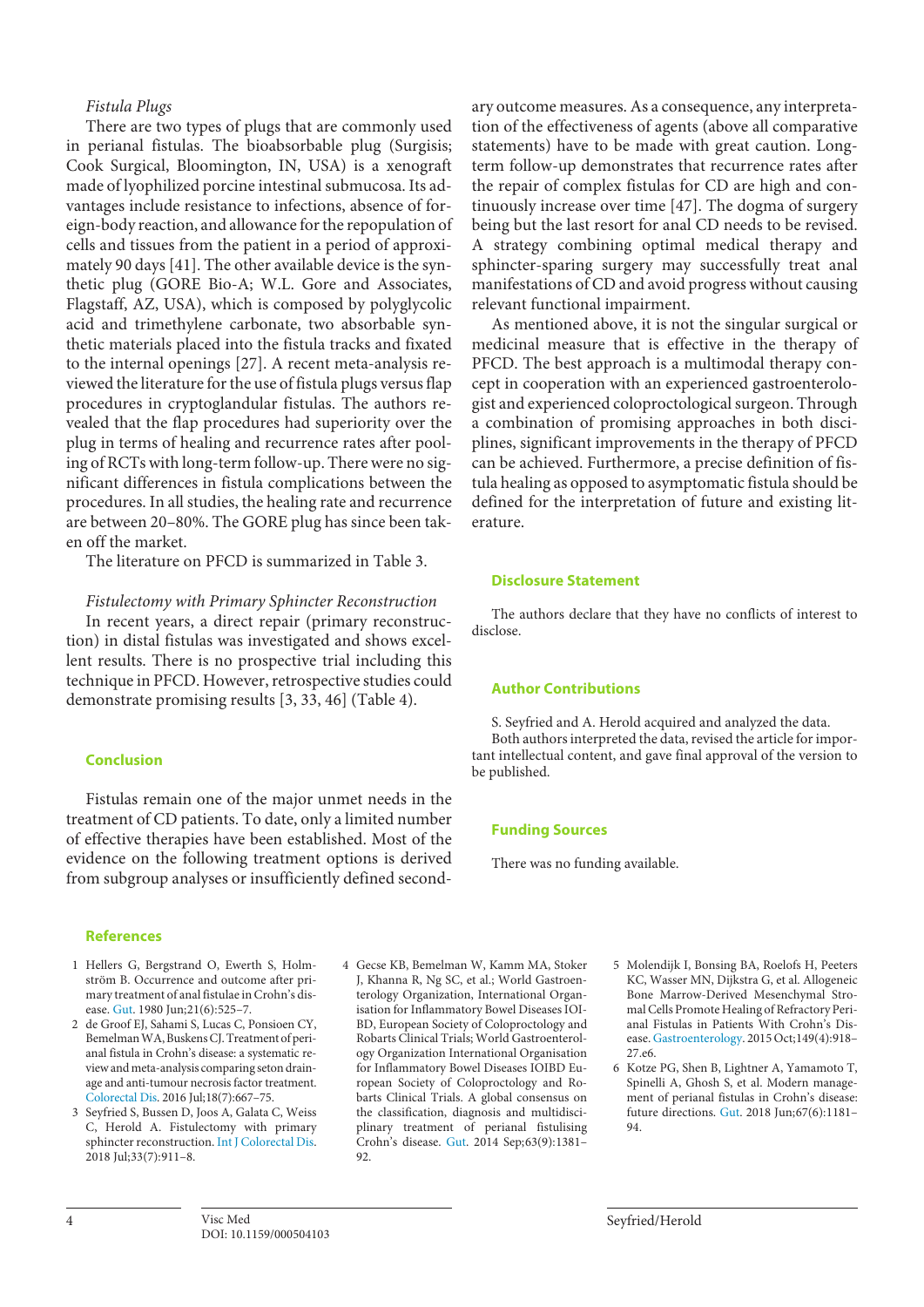#### *Fistula Plugs*

There are two types of plugs that are commonly used in perianal fistulas. The bioabsorbable plug (Surgisis; Cook Surgical, Bloomington, IN, USA) is a xenograft made of lyophilized porcine intestinal submucosa. Its advantages include resistance to infections, absence of foreign-body reaction, and allowance for the repopulation of cells and tissues from the patient in a period of approximately 90 days [[4](#page-3-3)[1](#page-3-0)]. The other available device is the synthetic plug (GORE Bio-A; W.L. Gore and Associates, Flagstaff, AZ, USA), which is composed by polyglycolic acid and trimethylene carbonate, two absorbable synthetic materials placed into the fistula tracks and fixated to the internal openings [\[2](#page-3-1)[7\]](#page-4-0). A recent meta-analysis reviewed the literature for the use of fistula plugs versus flap procedures in cryptoglandular fistulas. The authors revealed that the flap procedures had superiority over the plug in terms of healing and recurrence rates after pooling of RCTs with long-term follow-up. There were no significant differences in fistula complications between the procedures. In all studies, the healing rate and recurrence are between 20–80%. The GORE plug has since been taken off the market.

The literature on PFCD is summarized in Table 3.

#### *Fistulectomy with Primary Sphincter Reconstruction*

In recent years, a direct repair (primary reconstruction) in distal fistulas was investigated and shows excellent results. There is no prospective trial including this technique in PFCD. However, retrospective studies could demonstrate promising results [[3,](#page-3-2) [33](#page-3-2), [4](#page-3-3)[6](#page-3-5)] (Table 4).

#### <span id="page-3-6"></span>**Conclusion**

Fistulas remain one of the major unmet needs in the treatment of CD patients. To date, only a limited number of effective therapies have been established. Most of the evidence on the following treatment options is derived from subgroup analyses or insufficiently defined second-

#### **References**

- <span id="page-3-0"></span>[1](#page-0-0) Hellers G, Bergstrand O, Ewerth S, Holmström B. Occurrence and outcome after primary treatment of anal fistulae in Crohn's disease. [Gut](https://www.karger.com/Article/FullText/504103?ref=1#ref1). 1980 Jun;21(6):525–7.
- <span id="page-3-1"></span>[2](#page-0-1) de Groof EJ, Sahami S, Lucas C, Ponsioen CY, Bemelman WA, Buskens CJ. Treatment of perianal fistula in Crohn's disease: a systematic review and meta-analysis comparing seton drainage and anti-tumour necrosis factor treatment. [Colorectal Dis](https://www.karger.com/Article/FullText/504103?ref=2#ref2). 2016 Jul;18(7):667–75.
- <span id="page-3-2"></span>[3](#page-0-2) Seyfried S, Bussen D, Joos A, Galata C, Weiss C, Herold A. Fistulectomy with primary sphincter reconstruction. [Int J Colorectal Dis](https://www.karger.com/Article/FullText/504103?ref=3#ref3). 2018 Jul;33(7):911–8.

<span id="page-3-3"></span>[4](#page-0-3) Gecse KB, Bemelman W, Kamm MA, Stoker J, Khanna R, Ng SC, et al.; World Gastroenterology Organization, International Organisation for Inflammatory Bowel Diseases IOI-BD, European Society of Coloproctology and Robarts Clinical Trials; World Gastroenterology Organization International Organisation for Inflammatory Bowel Diseases IOIBD European Society of Coloproctology and Robarts Clinical Trials. A global consensus on the classification, diagnosis and multidisciplinary treatment of perianal fistulising Crohn's disease. [Gut](https://www.karger.com/Article/FullText/504103?ref=4#ref4). 2014 Sep;63(9):1381–  $92$ 

ary outcome measures. As a consequence, any interpretation of the effectiveness of agents (above all comparative statements) have to be made with great caution. Longterm follow-up demonstrates that recurrence rates after the repair of complex fistulas for CD are high and continuously increase over time [[4](#page-3-3)[7](#page-4-0)]. The dogma of surgery being but the last resort for anal CD needs to be revised. A strategy combining optimal medical therapy and sphincter-sparing surgery may successfully treat anal manifestations of CD and avoid progress without causing relevant functional impairment.

As mentioned above, it is not the singular surgical or medicinal measure that is effective in the therapy of PFCD. The best approach is a multimodal therapy concept in cooperation with an experienced gastroenterologist and experienced coloproctological surgeon. Through a combination of promising approaches in both disciplines, significant improvements in the therapy of PFCD can be achieved. Furthermore, a precise definition of fistula healing as opposed to asymptomatic fistula should be defined for the interpretation of future and existing literature.

#### **Disclosure Statement**

The authors declare that they have no conflicts of interest to disclose.

#### **Author Contributions**

S. Seyfried and A. Herold acquired and analyzed the data. Both authors interpreted the data, revised the article for important intellectual content, and gave final approval of the version to be published.

#### **Funding Sources**

There was no funding available.

- <span id="page-3-4"></span>[5](#page-0-4) Molendijk I, Bonsing BA, Roelofs H, Peeters KC, Wasser MN, Dijkstra G, et al. Allogeneic Bone Marrow-Derived Mesenchymal Stromal Cells Promote Healing of Refractory Perianal Fistulas in Patients With Crohn's Disease. [Gastroenterology](https://www.karger.com/Article/FullText/504103?ref=5#ref5). 2015 Oct;149(4):918– 27.e6.
- <span id="page-3-5"></span>[6](#page-0-5) Kotze PG, Shen B, Lightner A, Yamamoto T, Spinelli A, Ghosh S, et al. Modern management of perianal fistulas in Crohn's disease: future directions. [Gut.](https://www.karger.com/Article/FullText/504103?ref=6#ref6) 2018 Jun;67(6):1181– 94.